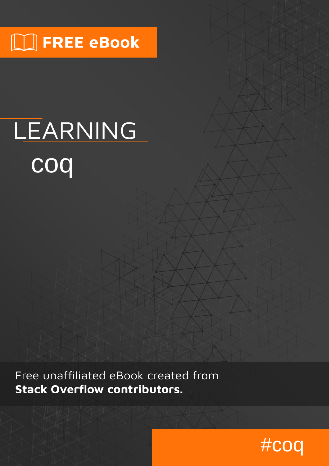# $\Box$  FREE eBook

# LEARNING **coq**

Free unaffiliated eBook created from **Stack Overflow contributors.** 

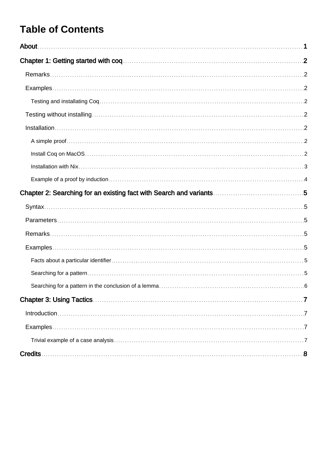# **Table of Contents**

| $Introduction 1.17$ |
|---------------------|
|                     |
|                     |
|                     |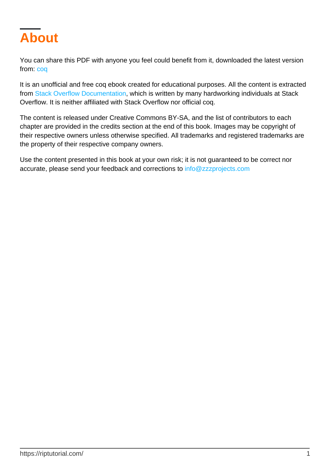<span id="page-2-0"></span>

You can share this PDF with anyone you feel could benefit from it, downloaded the latest version from: [coq](http://riptutorial.com/ebook/coq)

It is an unofficial and free coq ebook created for educational purposes. All the content is extracted from [Stack Overflow Documentation](https://archive.org/details/documentation-dump.7z), which is written by many hardworking individuals at Stack Overflow. It is neither affiliated with Stack Overflow nor official coq.

The content is released under Creative Commons BY-SA, and the list of contributors to each chapter are provided in the credits section at the end of this book. Images may be copyright of their respective owners unless otherwise specified. All trademarks and registered trademarks are the property of their respective company owners.

Use the content presented in this book at your own risk; it is not guaranteed to be correct nor accurate, please send your feedback and corrections to [info@zzzprojects.com](mailto:info@zzzprojects.com)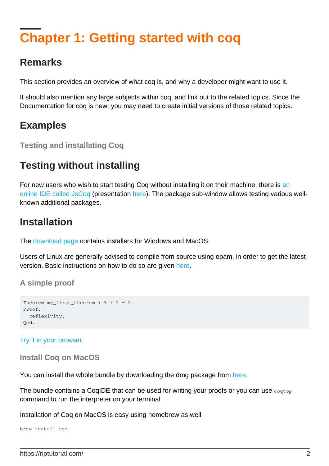# <span id="page-3-0"></span>**Chapter 1: Getting started with coq**

### <span id="page-3-1"></span>**Remarks**

This section provides an overview of what coq is, and why a developer might want to use it.

It should also mention any large subjects within coq, and link out to the related topics. Since the Documentation for coq is new, you may need to create initial versions of those related topics.

### <span id="page-3-2"></span>**Examples**

<span id="page-3-3"></span>**Testing and installating Coq**

# <span id="page-3-4"></span>**Testing without installing**

For new users who wish to start testing Coq without installing it on their machine, there is [an](https://x80.org/collacoq/) [online IDE called JsCoq](https://x80.org/collacoq/) (presentation [here](https://x80.org/rhino-coq/)). The package sub-window allows testing various wellknown additional packages.

# <span id="page-3-5"></span>**Installation**

The [download page](https://coq.inria.fr/download) contains installers for Windows and MacOS.

Users of Linux are generally advised to compile from source using opam, in order to get the latest version. Basic instructions on how to do so are given [here.](https://coq.inria.fr/opam/www/using.html)

### <span id="page-3-6"></span>**A simple proof**

```
Theorem my_first_theorem : 1 + 1 = 2.
Proof.
   reflexivity.
Qed.
```
<span id="page-3-7"></span>[Try it in your browser](https://x80.org/collacoq/orosayofop.coq).

**Install Coq on MacOS**

You can install the whole bundle by downloading the dmg package from [here.](https://coq.inria.fr/download)

The bundle contains a CoqIDE that can be used for writing your proofs or you can use  $\epsilon_{\text{cogtop}}$ command to run the interpreter on your terminal

Installation of Coq on MacOS is easy using homebrew as well

brew install coq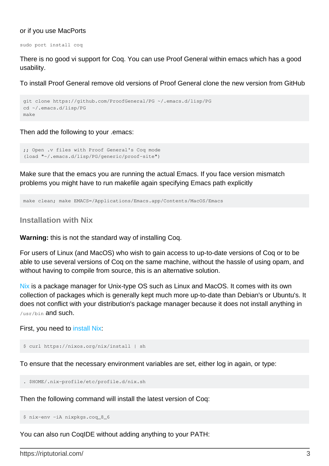#### or if you use MacPorts

sudo port install coq

There is no good vi support for Coq. You can use Proof General within emacs which has a good usability.

To install Proof General remove old versions of Proof General clone the new version from GitHub

```
git clone https://github.com/ProofGeneral/PG ~/.emacs.d/lisp/PG
cd ~/.emacs.d/lisp/PG
make
```
Then add the following to your .emacs:

```
;; Open .v files with Proof General's Coq mode
(load "~/.emacs.d/lisp/PG/generic/proof-site")
```
Make sure that the emacs you are running the actual Emacs. If you face version mismatch problems you might have to run makefile again specifying Emacs path explicitly

```
make clean; make EMACS=/Applications/Emacs.app/Contents/MacOS/Emacs
```
#### **Installation with Nix**

**Warning:** this is not the standard way of installing Coq.

For users of Linux (and MacOS) who wish to gain access to up-to-date versions of Coq or to be able to use several versions of Coq on the same machine, without the hassle of using opam, and without having to compile from source, this is an alternative solution.

[Nix](http://nixos.org/nix/) is a package manager for Unix-type OS such as Linux and MacOS. It comes with its own collection of packages which is generally kept much more up-to-date than Debian's or Ubuntu's. It does not conflict with your distribution's package manager because it does not install anything in /usr/bin and such.

#### First, you need to [install Nix](http://nixos.org/nix/manual/#ch-installing-binary):

```
$ curl https://nixos.org/nix/install | sh
```
To ensure that the necessary environment variables are set, either log in again, or type:

```
. $HOME/.nix-profile/etc/profile.d/nix.sh
```
Then the following command will install the latest version of Coq:

```
$ nix-env -iA nixpkgs.coq_8_6
```
You can also run CoqIDE without adding anything to your PATH: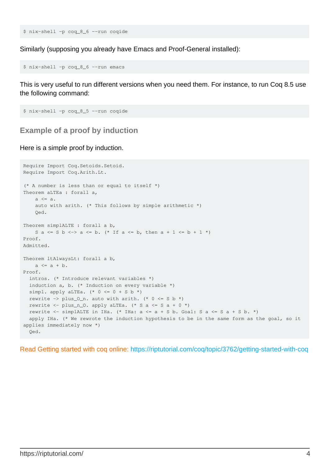\$ nix-shell -p coq\_8\_6 --run coqide

Similarly (supposing you already have Emacs and Proof-General installed):

```
$ nix-shell -p coq_8_6 --run emacs
```
This is very useful to run different versions when you need them. For instance, to run Coq 8.5 use the following command:

```
$ nix-shell -p coq_8_5 --run coqide
```
<span id="page-5-0"></span>**Example of a proof by induction**

Here is a simple proof by induction.

```
Require Import Coq.Setoids.Setoid.
Require Import Coq.Arith.Lt.
(* A number is less than or equal to itself *)
Theorem aLTEa : forall a,
    a \leq a.
     auto with arith. (* This follows by simple arithmetic *)
     Qed.
Theorem simplALTE : forall a b,
   S a \leq S b \leq > a \leq b. (* If a \leq b, then a + 1 \leq b + 1 *)
Proof.
Admitted.
Theorem ltAlwaysLt: forall a b,
   a \leq a + b.
Proof.
  intros. (* Introduce relevant variables *)
  induction a, b. (* Induction on every variable *)
  simpl. apply aLTEa. (* 0 \le 0 + S b *)rewrite -> plus_0_n. auto with arith. (* 0 \leq S b *)rewrite \le plus_n_0. apply aLTEa. (* S a \le S a + 0 *)
 rewrite \le - simplALTE in IHa. (* IHa: a \le = a + S b. Goal: S a \le S a + S b. *)
  apply IHa. (* We rewrote the induction hypothesis to be in the same form as the goal, so it
applies immediately now *)
   Qed.
```
Read Getting started with coq online:<https://riptutorial.com/coq/topic/3762/getting-started-with-coq>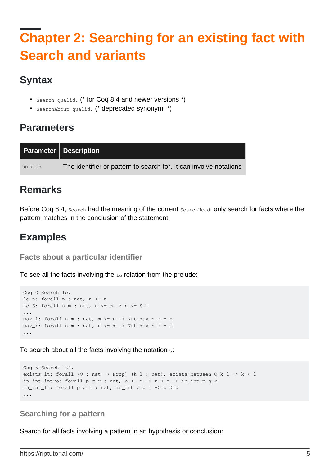# <span id="page-6-0"></span>**Chapter 2: Searching for an existing fact with Search and variants**

# <span id="page-6-1"></span>**Syntax**

- Search qualid. (\* for Coq 8.4 and newer versions \*)
- SearchAbout qualid. (\* deprecated synonym. \*)

### <span id="page-6-2"></span>**Parameters**

|        | <b>Parameter   Description</b>                                    |  |
|--------|-------------------------------------------------------------------|--|
| qualid | The identifier or pattern to search for. It can involve notations |  |

### <span id="page-6-3"></span>**Remarks**

Before Coq 8.4, Search had the meaning of the current SearchHead: only search for facts where the pattern matches in the conclusion of the statement.

# <span id="page-6-4"></span>**Examples**

<span id="page-6-5"></span>**Facts about a particular identifier**

To see all the facts involving the  $l e$  relation from the prelude:

```
Coq < Search le.
le_n: forall n : nat, n <= n
le_S: forall n m : nat, n \le m \Rightarrow n \le S m
...
max_l: forall n m : nat, m <= n -> Nat.max n m = n
max_r: forall n m : nat, n <= m -> Nat.max n m = m
...
```
To search about all the facts involving the notation <:

```
Coq < Search "<".
exists_lt: forall (Q : nat -> Prop) (k l : nat), exists_between Q k l -> k < l
in_int_intro: forall p q r : nat, p \le r \to r \le q \to \text{in\_int } p q rin_int_lt: forall p q r : nat, in_int p q r -> p < q
...
```
### <span id="page-6-6"></span>**Searching for a pattern**

Search for all facts involving a pattern in an hypothesis or conclusion: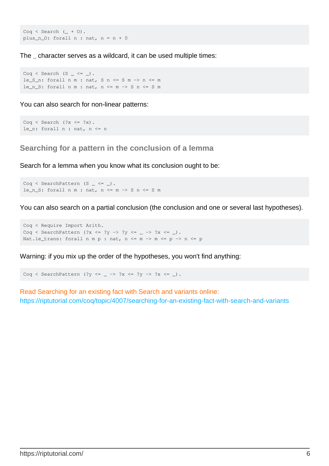$Cog \leq$  Search  $($  + 0). plus\_n\_0: forall  $n : nat, n = n + 0$ 

The \_ character serves as a wildcard, it can be used multiple times:

Coq < Search  $(S \_ \leq \leq \_)$ . le\_S\_n: forall  $n \text{ m}$  : nat,  $S \text{ n} \leq S \text{ m} \Rightarrow n \leq m$ le\_n\_S: forall n m : nat,  $n \le m \Rightarrow S$  n  $\le S$  m

You can also search for non-linear patterns:

```
Cog \leq Search (?x \leq ?x).
le_n: forall n : nat, n <= n
```
<span id="page-7-0"></span>**Searching for a pattern in the conclusion of a lemma**

Search for a lemma when you know what its conclusion ought to be:

Coq < SearchPattern  $(S - \leq -)$ . le\_n\_S: forall  $n$  m : nat,  $n$  <=  $m$  -> S  $n$  <= S  $m$ 

You can also search on a partial conclusion (the conclusion and one or several last hypotheses).

Coq < Require Import Arith. Coq < SearchPattern (?x <= ?y -> ?y <= \_ -> ?x <= \_). Nat.le\_trans: forall n m p : nat,  $n \le m \Rightarrow m \le p \Rightarrow n \le p$ 

Warning: if you mix up the order of the hypotheses, you won't find anything:

Coq < SearchPattern (?y <= \_ -> ?x <= ?y -> ?x <= \_).

Read Searching for an existing fact with Search and variants online: <https://riptutorial.com/coq/topic/4007/searching-for-an-existing-fact-with-search-and-variants>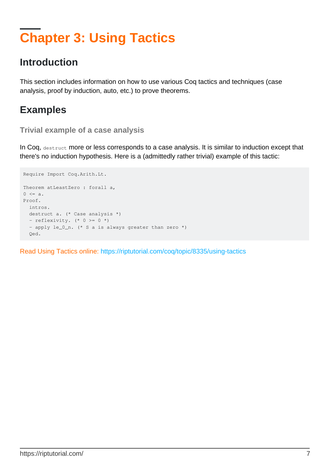# <span id="page-8-0"></span>**Chapter 3: Using Tactics**

# <span id="page-8-1"></span>**Introduction**

This section includes information on how to use various Coq tactics and techniques (case analysis, proof by induction, auto, etc.) to prove theorems.

# <span id="page-8-2"></span>**Examples**

#### <span id="page-8-3"></span>**Trivial example of a case analysis**

In Coq, destruct more or less corresponds to a case analysis. It is similar to induction except that there's no induction hypothesis. Here is a (admittedly rather trivial) example of this tactic:

```
Require Import Coq.Arith.Lt.
Theorem atLeastZero : forall a,
0 \leq a.
Proof.
  intros.
  destruct a. (* Case analysis *)
  - reflexivity. (* 0 > = 0 * )- apply le_0_n. (* S a is always greater than zero *)
  Qed.
```
Read Using Tactics online:<https://riptutorial.com/coq/topic/8335/using-tactics>